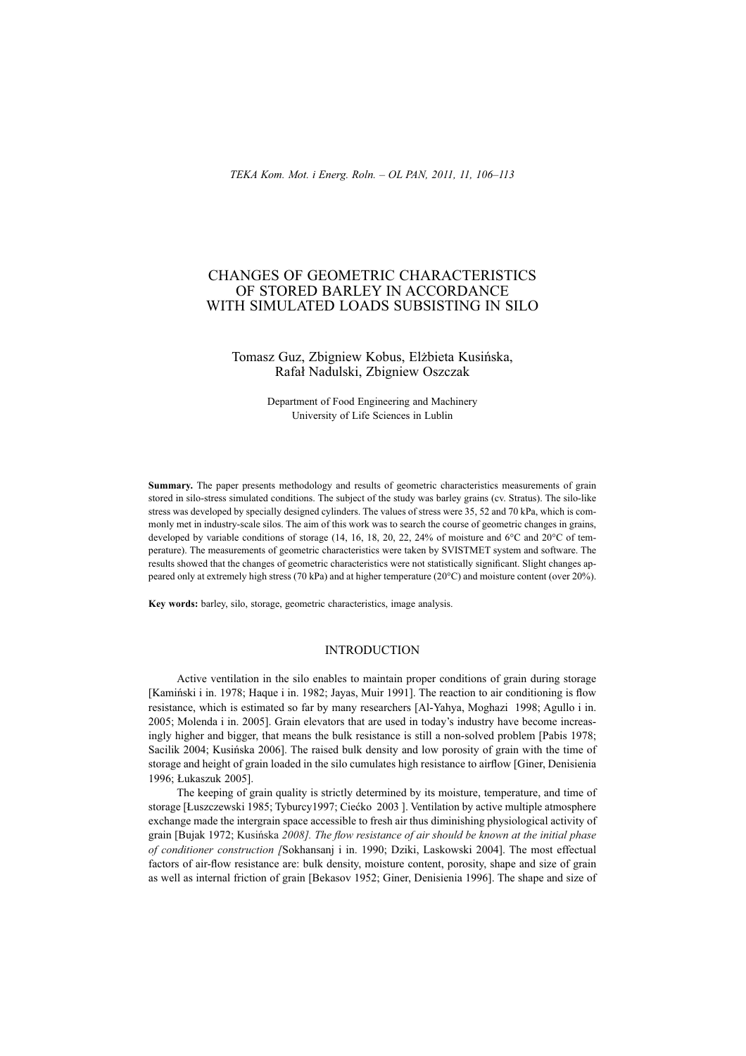# CHANGES OF GEOMETRIC CHARACTERISTICS OF STORED BARLEY IN ACCORDANCE WITH SIMULATED LOADS SUBSISTING IN SILO

### Tomasz Guz, Zbigniew Kobus, Elżbieta Kusińska, Rafaá Nadulski, Zbigniew Oszczak

Department of Food Engineering and Machinery University of Life Sciences in Lublin

**Summary.** The paper presents methodology and results of geometric characteristics measurements of grain stored in silo-stress simulated conditions. The subject of the study was barley grains (cv. Stratus). The silo-like stress was developed by specially designed cylinders. The values of stress were 35, 52 and 70 kPa, which is commonly met in industry-scale silos. The aim of this work was to search the course of geometric changes in grains, developed by variable conditions of storage (14, 16, 18, 20, 22, 24% of moisture and 6°C and 20°C of temperature). The measurements of geometric characteristics were taken by SVISTMET system and software. The results showed that the changes of geometric characteristics were not statistically significant. Slight changes appeared only at extremely high stress (70 kPa) and at higher temperature (20°C) and moisture content (over 20%).

**Key words:** barley, silo, storage, geometric characteristics, image analysis.

#### INTRODUCTION

Active ventilation in the silo enables to maintain proper conditions of grain during storage [Kamiński i in. 1978; Haque i in. 1982; Jayas, Muir 1991]. The reaction to air conditioning is flow resistance, which is estimated so far by many researchers [Al-Yahya, Moghazi 1998; Agullo i in. 2005; Molenda i in. 2005]. Grain elevators that are used in today's industry have become increasingly higher and bigger, that means the bulk resistance is still a non-solved problem [Pabis 1978; Sacilik 2004; Kusińska 2006]. The raised bulk density and low porosity of grain with the time of storage and height of grain loaded in the silo cumulates high resistance to airflow [Giner, Denisienia 1996: Łukaszuk 2005].

The keeping of grain quality is strictly determined by its moisture, temperature, and time of storage [Łuszczewski 1985; Tyburcy1997; Ciećko 2003 ]. Ventilation by active multiple atmosphere exchange made the intergrain space accessible to fresh air thus diminishing physiological activity of grain [Bujak 1972; Kusińska 2008]. The *flow resistance of air should be known at the initial phase of conditioner construction [*Sokhansanj i in. 1990; Dziki, Laskowski 2004]. The most effectual factors of air-flow resistance are: bulk density, moisture content, porosity, shape and size of grain as well as internal friction of grain [Bekasov 1952; Giner, Denisienia 1996]. The shape and size of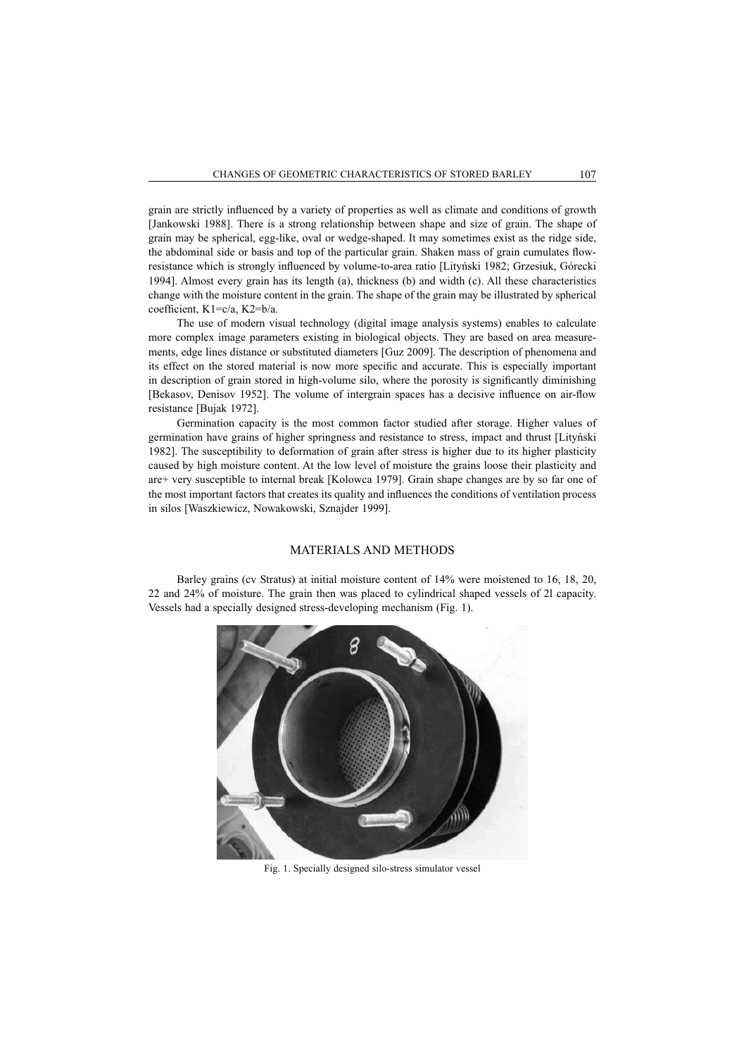grain are strictly influenced by a variety of properties as well as climate and conditions of growth [Jankowski 1988]. There is a strong relationship between shape and size of grain. The shape of grain may be spherical, egg-like, oval or wedge-shaped. It may sometimes exist as the ridge side, the abdominal side or basis and top of the particular grain. Shaken mass of grain cumulates flowresistance which is strongly influenced by volume-to-area ratio [Lityński 1982; Grzesiuk, Górecki 1994]. Almost every grain has its length (a), thickness (b) and width (c). All these characteristics change with the moisture content in the grain. The shape of the grain may be illustrated by spherical coefficient, K1=c/a, K2=b/a.

The use of modern visual technology (digital image analysis systems) enables to calculate more complex image parameters existing in biological objects. They are based on area measurements, edge lines distance or substituted diameters [Guz 2009]. The description of phenomena and its effect on the stored material is now more specific and accurate. This is especially important in description of grain stored in high-volume silo, where the porosity is significantly diminishing [Bekasov, Denisov 1952]. The volume of intergrain spaces has a decisive influence on air-flow resistance [Bujak 1972].

Germination capacity is the most common factor studied after storage. Higher values of germination have grains of higher springness and resistance to stress, impact and thrust [Lityński 1982]. The susceptibility to deformation of grain after stress is higher due to its higher plasticity caused by high moisture content. At the low level of moisture the grains loose their plasticity and are+ very susceptible to internal break [Kolowca 1979]. Grain shape changes are by so far one of the most important factors that creates its quality and influences the conditions of ventilation process in silos [Waszkiewicz, Nowakowski, Sznajder 1999].

### MATERIALS AND METHODS

Barley grains (cv Stratus) at initial moisture content of 14% were moistened to 16, 18, 20, 22 and 24% of moisture. The grain then was placed to cylindrical shaped vessels of 2l capacity. Vessels had a specially designed stress-developing mechanism (Fig. 1).



Fig. 1. Specially designed silo-stress simulator vessel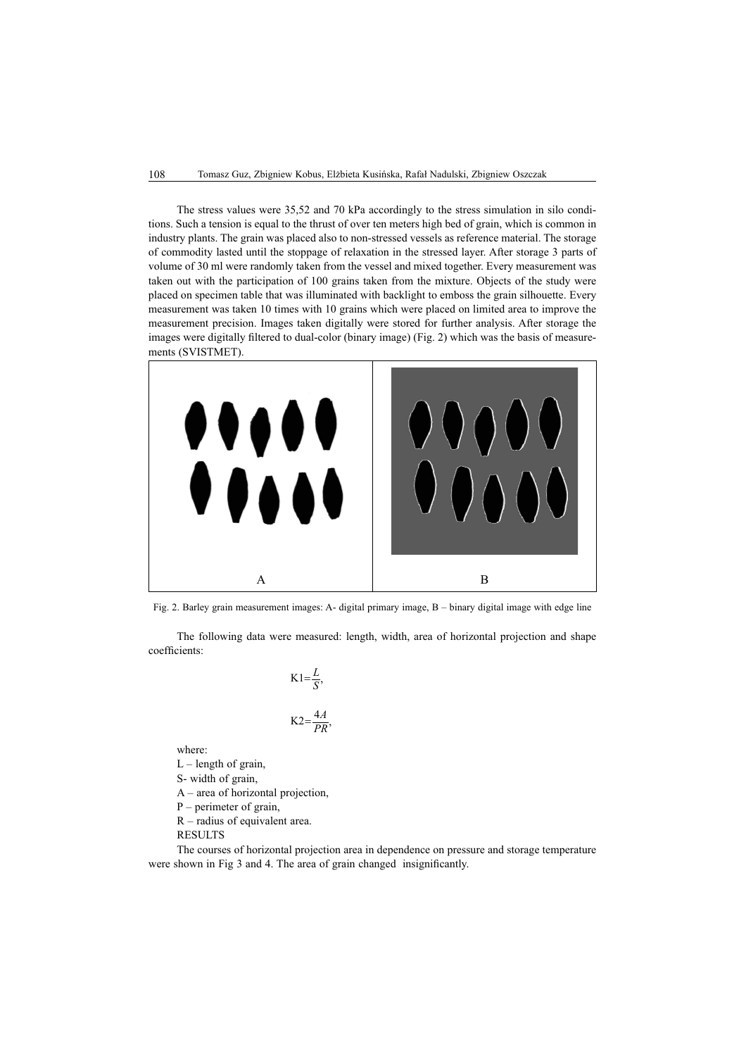The stress values were 35,52 and 70 kPa accordingly to the stress simulation in silo conditions. Such a tension is equal to the thrust of over ten meters high bed of grain, which is common in industry plants. The grain was placed also to non-stressed vessels as reference material. The storage of commodity lasted until the stoppage of relaxation in the stressed layer. After storage 3 parts of volume of 30 ml were randomly taken from the vessel and mixed together. Every measurement was taken out with the participation of 100 grains taken from the mixture. Objects of the study were placed on specimen table that was illuminated with backlight to emboss the grain silhouette. Every measurement was taken 10 times with 10 grains which were placed on limited area to improve the measurement precision. Images taken digitally were stored for further analysis. After storage the images were digitally filtered to dual-color (binary image) (Fig. 2) which was the basis of measurements (SVISTMET).



Fig. 2. Barley grain measurement images: A- digital primary image, B – binary digital image with edge line

The following data were measured: length, width, area of horizontal projection and shape coefficients:

$$
K1 = \frac{L}{S'},
$$

$$
K2 = \frac{4A}{PR},
$$

where:

 $L$  – length of grain,

S- width of grain,

A – area of horizontal projection,

P – perimeter of grain,

R – radius of equivalent area.

RESULTS

The courses of horizontal projection area in dependence on pressure and storage temperature were shown in Fig 3 and 4. The area of grain changed insignificantly.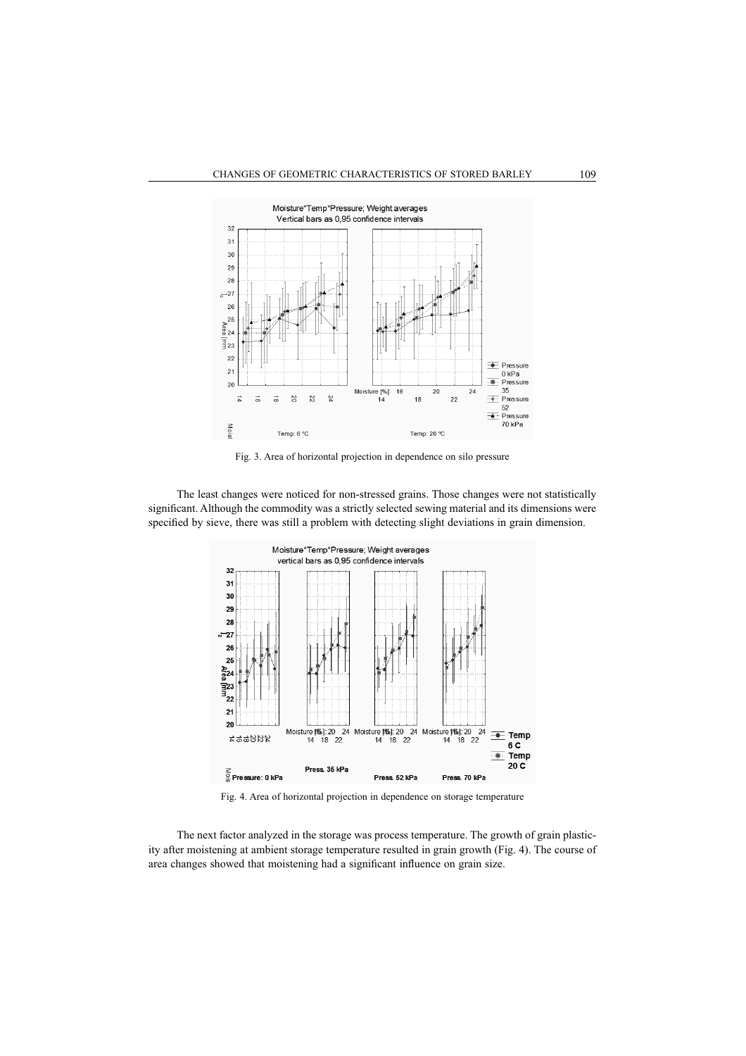

Fig. 3. Area of horizontal projection in dependence on silo pressure

The least changes were noticed for non-stressed grains. Those changes were not statistically significant. Although the commodity was a strictly selected sewing material and its dimensions were specified by sieve, there was still a problem with detecting slight deviations in grain dimension.



Fig. 4. Area of horizontal projection in dependence on storage temperature

The next factor analyzed in the storage was process temperature. The growth of grain plasticity after moistening at ambient storage temperature resulted in grain growth (Fig. 4). The course of area changes showed that moistening had a significant influence on grain size.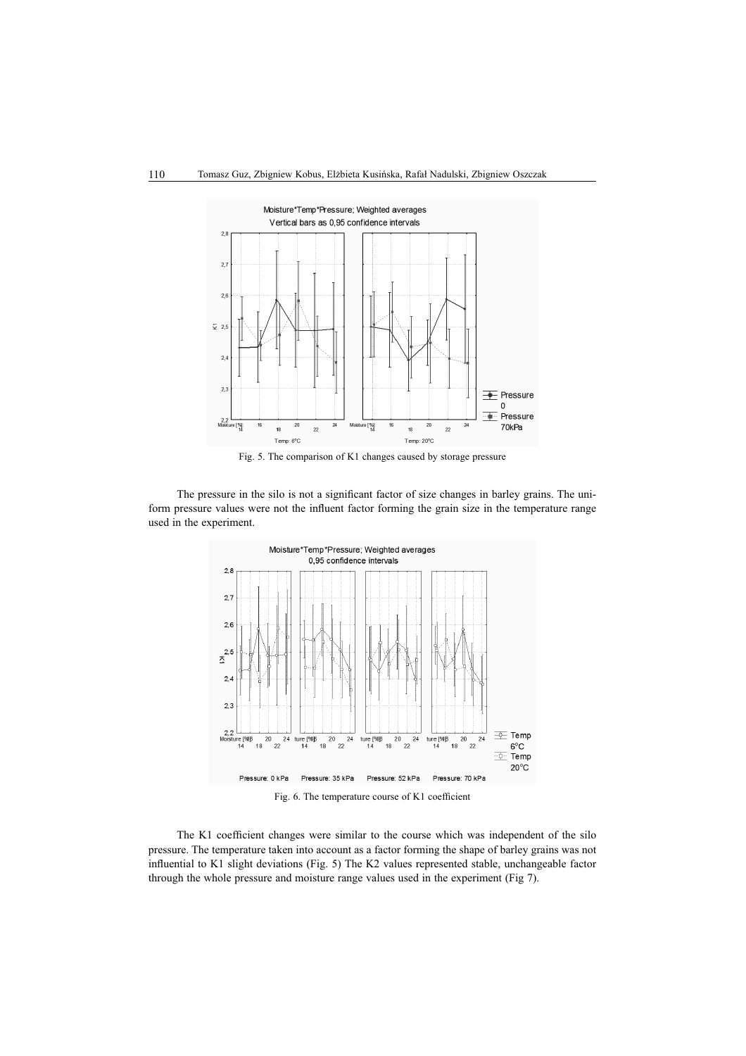

Fig. 5. The comparison of K1 changes caused by storage pressure

The pressure in the silo is not a significant factor of size changes in barley grains. The uniform pressure values were not the influent factor forming the grain size in the temperature range used in the experiment.



Fig. 6. The temperature course of K1 coefficient

The K1 coefficient changes were similar to the course which was independent of the silo pressure. The temperature taken into account as a factor forming the shape of barley grains was not influential to K1 slight deviations (Fig. 5) The K2 values represented stable, unchangeable factor through the whole pressure and moisture range values used in the experiment (Fig 7).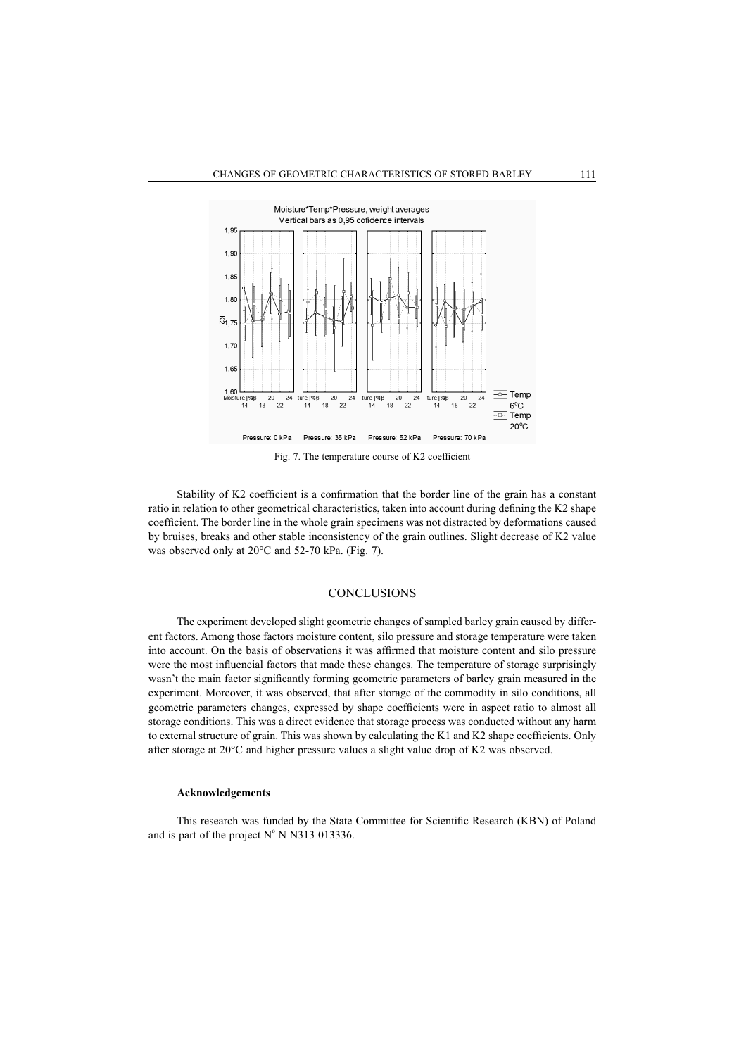

Fig. 7. The temperature course of K2 coefficient

Stability of K2 coefficient is a confirmation that the border line of the grain has a constant ratio in relation to other geometrical characteristics, taken into account during defining the K2 shape coefficient. The border line in the whole grain specimens was not distracted by deformations caused by bruises, breaks and other stable inconsistency of the grain outlines. Slight decrease of K2 value was observed only at 20°C and 52-70 kPa. (Fig. 7).

#### **CONCLUSIONS**

The experiment developed slight geometric changes of sampled barley grain caused by different factors. Among those factors moisture content, silo pressure and storage temperature were taken into account. On the basis of observations it was affirmed that moisture content and silo pressure were the most influencial factors that made these changes. The temperature of storage surprisingly wasn't the main factor significantly forming geometric parameters of barley grain measured in the experiment. Moreover, it was observed, that after storage of the commodity in silo conditions, all geometric parameters changes, expressed by shape coefficients were in aspect ratio to almost all storage conditions. This was a direct evidence that storage process was conducted without any harm to external structure of grain. This was shown by calculating the K1 and K2 shape coefficients. Only after storage at 20°C and higher pressure values a slight value drop of K2 was observed.

#### **Acknowledgements**

This research was funded by the State Committee for Scientific Research (KBN) of Poland and is part of the project  $N^{\circ}$  N N313 013336.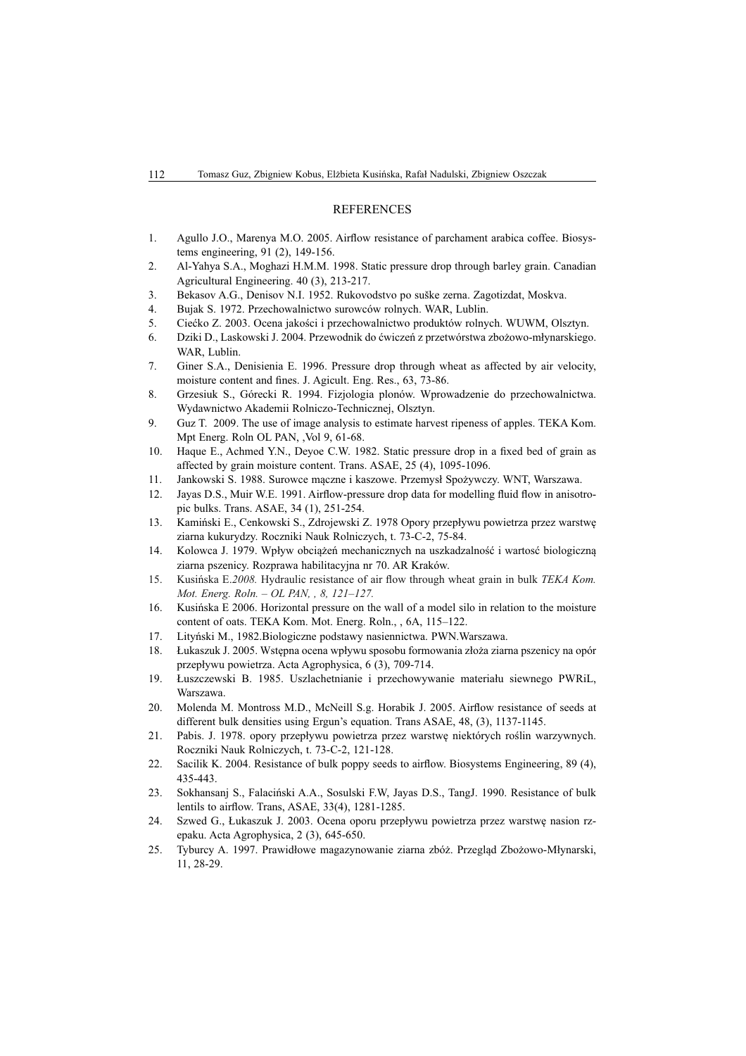#### **REFERENCES**

- 1. Agullo J.O., Marenya M.O. 2005. Airflow resistance of parchament arabica coffee. Biosystems engineering, 91 (2), 149-156.
- 2. Al-Yahya S.A., Moghazi H.M.M. 1998. Static pressure drop through barley grain. Canadian Agricultural Engineering. 40 (3), 213-217.
- 3. Bekasov A.G., Denisov N.I. 1952. Rukovodstvo po suške zerna. Zagotizdat, Moskva.
- 4. Bujak S. 1972. Przechowalnictwo surowców rolnych. WAR, Lublin.
- 5. Ciećko Z. 2003. Ocena jakości i przechowalnictwo produktów rolnych. WUWM, Olsztyn.
- 6. Dziki D., Laskowski J. 2004. Przewodnik do ćwiczeń z przetwórstwa zbożowo-młynarskiego. WAR, Lublin.
- 7. Giner S.A., Denisienia E. 1996. Pressure drop through wheat as affected by air velocity, moisture content and fines. J. Agicult. Eng. Res., 63, 73-86.
- 8. Grzesiuk S., Górecki R. 1994. Fizjologia plonów. Wprowadzenie do przechowalnictwa. Wydawnictwo Akademii Rolniczo-Technicznej, Olsztyn.
- 9. Guz T. 2009. The use of image analysis to estimate harvest ripeness of apples. TEKA Kom. Mpt Energ. Roln OL PAN, ,Vol 9, 61-68.
- 10. Haque E., Achmed Y.N., Deyoe C.W. 1982. Static pressure drop in a fixed bed of grain as affected by grain moisture content. Trans. ASAE, 25 (4), 1095-1096.
- 11. Jankowski S. 1988. Surowce mączne i kaszowe. Przemysł Spożywczy. WNT, Warszawa.
- 12. Jayas D.S., Muir W.E. 1991. Airflow-pressure drop data for modelling fluid flow in anisotropic bulks. Trans. ASAE, 34 (1), 251-254.
- 13. Kamiński E., Cenkowski S., Zdrojewski Z. 1978 Opory przepływu powietrza przez warstwę ziarna kukurydzy. Roczniki Nauk Rolniczych, t. 73-C-2, 75-84.
- 14. Kolowca J. 1979. Wpływ obciążeń mechanicznych na uszkadzalność i wartosć biologiczną ziarna pszenicy. Rozprawa habilitacyjna nr 70. AR Kraków.
- 15. Kusińska E.2008. Hydraulic resistance of air flow through wheat grain in bulk *TEKA Kom*. *Mot. Energ. Roln. – OL PAN, , 8, 121–127.*
- 16. Kusińska E 2006. Horizontal pressure on the wall of a model silo in relation to the moisture content of oats. TEKA Kom. Mot. Energ. Roln., , 6A, 115–122.
- 17. Lityński M., 1982.Biologiczne podstawy nasiennictwa. PWN.Warszawa.
- 18. Łukaszuk J. 2005. Wstępna ocena wpływu sposobu formowania złoża ziarna pszenicy na opór przepływu powietrza. Acta Agrophysica, 6 (3), 709-714.
- 19. Łuszczewski B. 1985. Uszlachetnianie i przechowywanie materiału siewnego PWRiL, Warszawa.
- 20. Molenda M. Montross M.D., McNeill S.g. Horabik J. 2005. Airflow resistance of seeds at different bulk densities using Ergun's equation. Trans ASAE, 48, (3), 1137-1145.
- 21. Pabis. J. 1978. opory przepływu powietrza przez warstwe niektórych roślin warzywnych. Roczniki Nauk Rolniczych, t. 73-C-2, 121-128.
- 22. Sacilik K. 2004. Resistance of bulk poppy seeds to airflow. Biosystems Engineering, 89 (4), 435-443.
- 23. Sokhansanj S., Falaciński A.A., Sosulski F.W. Jayas D.S., TangJ. 1990. Resistance of bulk lentils to airflow. Trans, ASAE, 33(4), 1281-1285.
- 24. Szwed G., Łukaszuk J. 2003. Ocena oporu przepływu powietrza przez warstwę nasion rzepaku. Acta Agrophysica, 2 (3), 645-650.
- 25. Tyburcy A. 1997. Prawidłowe magazynowanie ziarna zbóż. Przegląd Zbożowo-Młynarski, 11, 28-29.